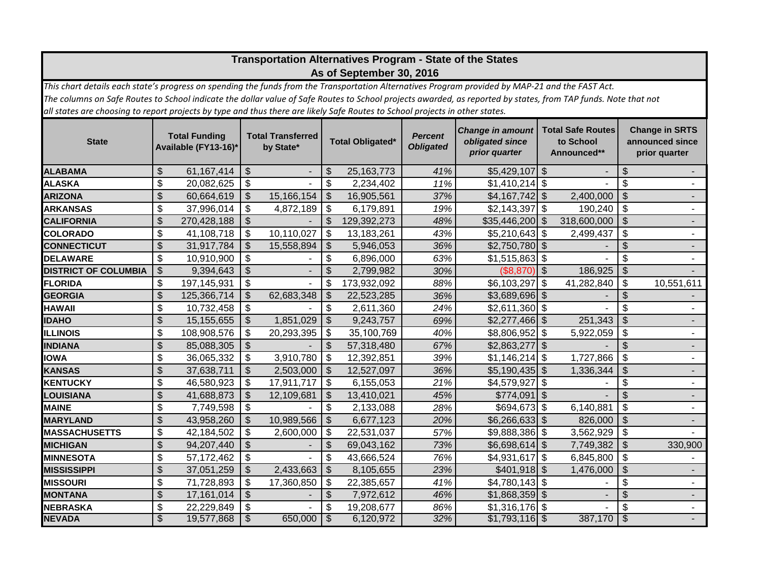| Transportation Alternatives Program - State of the States<br>As of September 30, 2016                                                                                                                                                                                                          |                                              |              |                                       |                |                           |              |                                    |                                                             |                                                      |             |                           |                                                           |
|------------------------------------------------------------------------------------------------------------------------------------------------------------------------------------------------------------------------------------------------------------------------------------------------|----------------------------------------------|--------------|---------------------------------------|----------------|---------------------------|--------------|------------------------------------|-------------------------------------------------------------|------------------------------------------------------|-------------|---------------------------|-----------------------------------------------------------|
| This chart details each state's progress on spending the funds from the Transportation Alternatives Program provided by MAP-21 and the FAST Act.                                                                                                                                               |                                              |              |                                       |                |                           |              |                                    |                                                             |                                                      |             |                           |                                                           |
| The columns on Safe Routes to School indicate the dollar value of Safe Routes to School projects awarded, as reported by states, from TAP funds. Note that not<br>all states are choosing to report projects by type and thus there are likely Safe Routes to School projects in other states. |                                              |              |                                       |                |                           |              |                                    |                                                             |                                                      |             |                           |                                                           |
|                                                                                                                                                                                                                                                                                                |                                              |              |                                       |                |                           |              |                                    |                                                             |                                                      |             |                           |                                                           |
| <b>State</b>                                                                                                                                                                                                                                                                                   | <b>Total Funding</b><br>Available (FY13-16)* |              | <b>Total Transferred</b><br>by State* |                | <b>Total Obligated*</b>   |              | <b>Percent</b><br><b>Obligated</b> | <b>Change in amount</b><br>obligated since<br>prior quarter | <b>Total Safe Routes</b><br>to School<br>Announced** |             |                           | <b>Change in SRTS</b><br>announced since<br>prior quarter |
| <b>ALABAMA</b>                                                                                                                                                                                                                                                                                 | $\boldsymbol{\mathsf{S}}$                    | 61,167,414   | $\frac{1}{2}$                         | $\blacksquare$ | $\frac{1}{2}$             | 25, 163, 773 | 41%                                | $$5,429,107$ \$                                             |                                                      |             | \$                        | ۰.                                                        |
| <b>ALASKA</b>                                                                                                                                                                                                                                                                                  | \$                                           | 20,082,625   | \$                                    |                | \$                        | 2,234,402    | 11%                                | $$1,410,214$ \\$                                            |                                                      |             | \$                        |                                                           |
| <b>ARIZONA</b>                                                                                                                                                                                                                                                                                 | $\mathfrak{S}$                               | 60,664,619   | $\mathcal{S}$                         | 15,166,154     | $\mathcal{S}$             | 16,905,561   | 37%                                | $$4,167,742$ \\$                                            |                                                      | 2,400,000   | $\overline{\mathcal{S}}$  | $\blacksquare$                                            |
| <b>ARKANSAS</b>                                                                                                                                                                                                                                                                                | \$                                           | 37,996,014   | \$                                    | 4,872,189      | \$                        | 6,179,891    | 19%                                | \$2,143,397                                                 | $\boldsymbol{\mathsf{S}}$                            | 190,240     | \$                        | $\blacksquare$                                            |
| <b>CALIFORNIA</b>                                                                                                                                                                                                                                                                              | $\boldsymbol{\mathsf{S}}$                    | 270,428,188  | $\mathfrak{S}$                        |                | $\boldsymbol{\mathsf{S}}$ | 129,392,273  | 48%                                | \$35,446,200                                                | $\mathfrak{F}$                                       | 318,600,000 | $\sqrt{2}$                |                                                           |
| <b>COLORADO</b>                                                                                                                                                                                                                                                                                | \$                                           | 41,108,718   | \$                                    | 10,110,027     | \$                        | 13,183,261   | 43%                                | $$5,210,643$ \$                                             |                                                      | 2,499,437   | $\boldsymbol{\theta}$     |                                                           |
| <b>CONNECTICUT</b>                                                                                                                                                                                                                                                                             | $\mathfrak{S}$                               | 31,917,784   | $\mathfrak{S}$                        | 15,558,894     | $\mathcal{S}$             | 5,946,053    | 36%                                | $$2,750,780$ \\$                                            |                                                      |             | \$                        | $\overline{a}$                                            |
| <b>DELAWARE</b>                                                                                                                                                                                                                                                                                | \$                                           | 10,910,900   | \$                                    |                | $\boldsymbol{\mathsf{S}}$ | 6,896,000    | 63%                                | $$1,515,863$ \$                                             |                                                      |             | \$                        |                                                           |
| <b>DISTRICT OF COLUMBIA</b>                                                                                                                                                                                                                                                                    | $\mathcal{S}$                                | 9,394,643    | $\mathfrak{S}$                        | ÷,             | $\mathfrak{S}$            | 2,799,982    | 30%                                | (\$8,870)                                                   | l \$                                                 | 186,925     | $\mathcal{S}$             |                                                           |
| <b>FLORIDA</b>                                                                                                                                                                                                                                                                                 | \$                                           | 197,145,931  | \$                                    | ÷.             | $\boldsymbol{\mathsf{S}}$ | 173,932,092  | 88%                                | \$6,103,297                                                 | $\sqrt{3}$                                           | 41,282,840  | $\boldsymbol{\mathsf{S}}$ | 10,551,611                                                |
| <b>GEORGIA</b>                                                                                                                                                                                                                                                                                 | \$                                           | 125,366,714  | $\mathfrak{S}$                        | 62,683,348     | $\sqrt[6]{\frac{1}{2}}$   | 22,523,285   | 36%                                | $$3,689,696$ \$                                             |                                                      |             | \$                        |                                                           |
| <b>HAWAII</b>                                                                                                                                                                                                                                                                                  | \$                                           | 10,732,458   | \$                                    |                | \$                        | 2,611,360    | 24%                                | $$2,611,360$ \ \$                                           |                                                      |             | \$                        | $\blacksquare$                                            |
| <b>IDAHO</b>                                                                                                                                                                                                                                                                                   | \$                                           | 15, 155, 655 | \$                                    | 1,851,029      | $\mathcal{S}$             | 9,243,757    | 69%                                |                                                             |                                                      | 251,343     | \$                        | ۰.                                                        |
| <b>ILLINOIS</b>                                                                                                                                                                                                                                                                                | \$                                           | 108,908,576  | \$                                    | 20,293,395     | \$                        | 35,100,769   | 40%                                | \$8,806,952                                                 | $\boldsymbol{\mathsf{S}}$                            | 5,922,059   | \$                        | $\blacksquare$                                            |
| <b>INDIANA</b>                                                                                                                                                                                                                                                                                 | $\frac{1}{2}$                                | 85,088,305   | \$                                    |                | $\boldsymbol{\mathsf{S}}$ | 57,318,480   | 67%                                | \$2,863,277                                                 | $\sqrt[6]{\frac{1}{2}}$                              |             | \$                        | $\blacksquare$                                            |
| <b>IOWA</b>                                                                                                                                                                                                                                                                                    | \$                                           | 36,065,332   | \$                                    | 3,910,780      | \$                        | 12,392,851   | 39%                                | $$1,146,214$ \\$                                            |                                                      | 1,727,866   | $\boldsymbol{\mathsf{S}}$ |                                                           |
| <b>KANSAS</b>                                                                                                                                                                                                                                                                                  | \$                                           | 37,638,711   | $\boldsymbol{\mathsf{S}}$             | 2,503,000      | \$                        | 12,527,097   | 36%                                | $$5,190,435$ \$                                             |                                                      | 1,336,344   | \$                        |                                                           |
| <b>KENTUCKY</b>                                                                                                                                                                                                                                                                                | \$                                           | 46,580,923   | \$                                    | 17,911,717     | \$                        | 6,155,053    | 21%                                | \$4,579,927                                                 | $\sqrt{3}$                                           |             | \$                        |                                                           |
| LOUISIANA                                                                                                                                                                                                                                                                                      | $\boldsymbol{\mathsf{S}}$                    | 41,688,873   | \$                                    | 12,109,681     | $\frac{1}{2}$             | 13,410,021   | 45%                                | $$774,091$ \$                                               |                                                      |             | \$                        |                                                           |
| <b>MAINE</b>                                                                                                                                                                                                                                                                                   | \$                                           | 7,749,598    | \$                                    |                | $\boldsymbol{\mathsf{S}}$ | 2,133,088    | 28%                                | $$694,673$ \$                                               |                                                      | 6,140,881   | \$                        | ÷.                                                        |
| <b>MARYLAND</b>                                                                                                                                                                                                                                                                                | $\mathfrak{S}$                               | 43,958,260   | $\mathfrak{S}$                        | 10,989,566     | $\mathcal{S}$             | 6,677,123    | 20%                                | $$6,266,633$ \\$                                            |                                                      | 826,000     | $\overline{\mathcal{S}}$  | $\blacksquare$                                            |
| <b>MASSACHUSETTS</b>                                                                                                                                                                                                                                                                           | \$                                           | 42,184,502   | \$                                    | 2,600,000      | \$                        | 22,531,037   | 57%                                | $$9,888,386$ \$                                             |                                                      | 3,562,929   | \$                        |                                                           |
| <b>MICHIGAN</b>                                                                                                                                                                                                                                                                                | \$                                           | 94,207,440   | $\mathfrak{S}$                        |                | $\boldsymbol{\mathsf{S}}$ | 69,043,162   | 73%                                | \$6,698,614]                                                | $\sqrt[6]{\frac{1}{2}}$                              | 7,749,382   | $\sqrt[6]{\frac{1}{2}}$   | 330,900                                                   |
| <b>MINNESOTA</b>                                                                                                                                                                                                                                                                               | \$                                           | 57, 172, 462 | \$                                    |                | \$                        | 43,666,524   | 76%                                | $$4,931,617$ \\$                                            |                                                      | 6,845,800   | $\boldsymbol{\mathsf{S}}$ |                                                           |
| <b>MISSISSIPPI</b>                                                                                                                                                                                                                                                                             | \$                                           | 37,051,259   | $\mathcal{S}$                         | 2,433,663      | $\mathcal{S}$             | 8,105,655    | 23%                                | $$401,918$ \$                                               |                                                      | 1,476,000   | $\mathcal{S}$             |                                                           |
| <b>MISSOURI</b>                                                                                                                                                                                                                                                                                | \$                                           | 71,728,893   | \$                                    | 17,360,850     | \$                        | 22,385,657   | 41%                                | $$4,780,143$ \\$                                            |                                                      |             | \$                        |                                                           |
| <b>MONTANA</b>                                                                                                                                                                                                                                                                                 | $\mathfrak{S}$                               | 17,161,014   | $\mathcal{S}$                         |                | $\mathfrak{S}$            | 7,972,612    | 46%                                | $$1,868,359$ \\$                                            |                                                      |             | \$                        |                                                           |
| <b>NEBRASKA</b>                                                                                                                                                                                                                                                                                | \$                                           | 22,229,849   | \$                                    | $\overline{a}$ | \$                        | 19,208,677   | 86%                                | $$1,316,176$ \$                                             |                                                      |             | \$                        | $\overline{\phantom{0}}$                                  |
| <b>NEVADA</b>                                                                                                                                                                                                                                                                                  | \$                                           | 19,577,868   | \$                                    | 650,000        | $\sqrt[6]{3}$             | 6,120,972    | 32%                                | $$1,793,116$ \$                                             |                                                      | 387,170     | $\overline{\mathbf{3}}$   |                                                           |